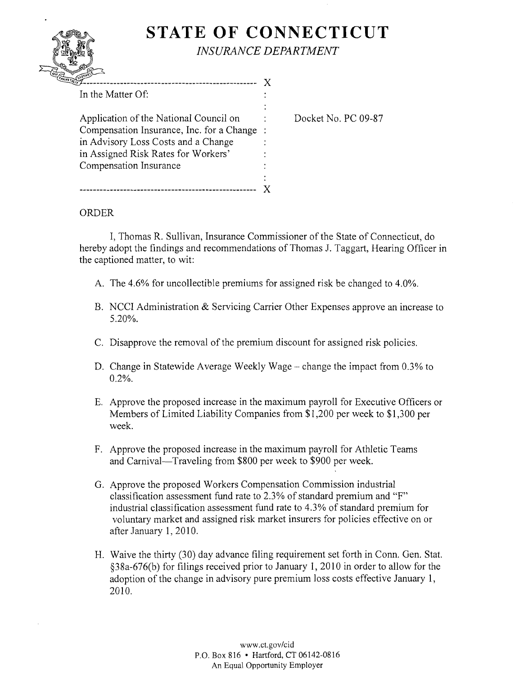## **STATE OF CONNECTICUT** *INSURANCE DEPARTMENT*

| ----------------                          |  |
|-------------------------------------------|--|
| In the Matter Of:                         |  |
|                                           |  |
| Application of the National Council on    |  |
| Compensation Insurance, Inc. for a Change |  |
| in Advisory Loss Costs and a Change       |  |
| in Assigned Risk Rates for Workers'       |  |
| Compensation Insurance                    |  |
|                                           |  |
|                                           |  |
|                                           |  |

Docket No. PC 09-87

## ORDER

I, Thomas R. Sullivan, Insurance Commissioner of the State of Connecticut, do hereby adopt the findings and recommendations of Thomas J. Taggart, Hearing Officer in the captioned matter, to wit:

- A. The 4.6% for uncollectible premiums for assigned risk be changed to 4.0%.
- B. NCCI Administration & Servicing Carrier Other Expenses approve an increase to 5.20%.
- C. Disapprove the removal of the premium discount for assigned risk policies.
- D. Change in Statewide Average Weekly Wage change the impact from 0.3% to 0.2%.
- E. Approve the proposed increase in the maximum payroll for Executive Officers or Members of Limited Liability Companies from \$1,200 per week to \$1,300 per week.
- F. Approve the proposed increase in the maximum payroll for Athletic Teams and Carnival-Traveling from \$800 per week to \$900 per week.
- G. Approve the proposed Workers Compensation Commission industrial classification assessment fund rate to 2.3% of standard premium and "F" industrial classification assessment fund rate to 4.3% of standard premium for voluntary market and assigned risk market insurers for policies effective on or after January 1,2010.
- H. Waive the thirty (30) day advance filing requirement set forth in Conn. Gen. Stat. §38a-676(b) for filings received prior to January 1, 20 lOin order to allow for the adoption of the change in advisory pure premium loss costs effective January 1, 2010.